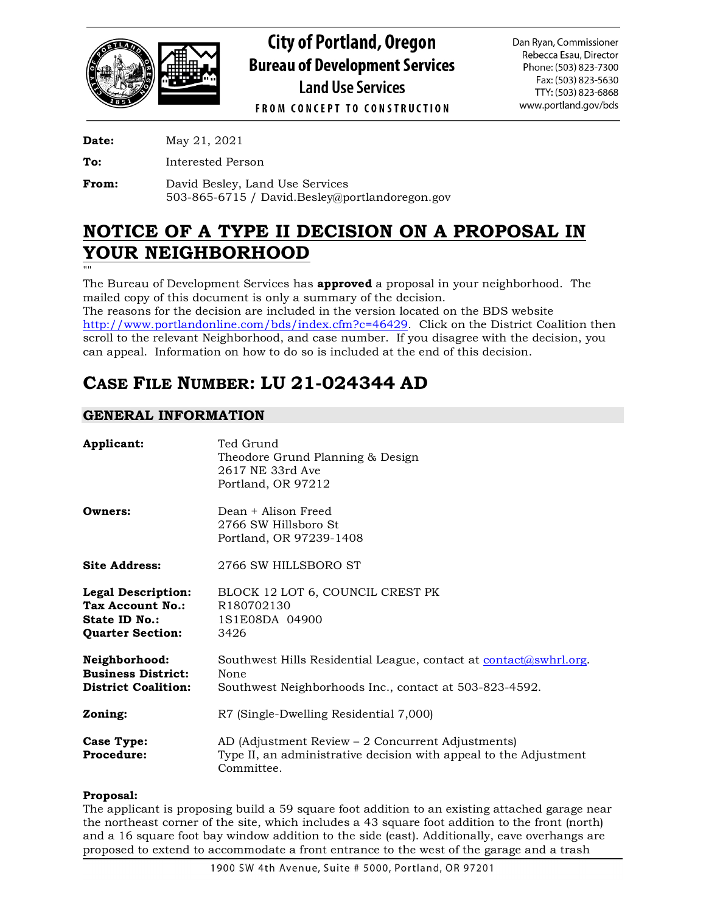

# **City of Portland, Oregon Bureau of Development Services Land Use Services**

Dan Ryan, Commissioner Rebecca Esau, Director Phone: (503) 823-7300 Fax: (503) 823-5630 TTY: (503) 823-6868 www.portland.gov/bds

**FROM CONCEPT TO CONSTRUCTION** 

**Date:** May 21, 2021

**To:** Interested Person

**From:** David Besley, Land Use Services 503-865-6715 / David.Besley@portlandoregon.gov

# **NOTICE OF A TYPE II DECISION ON A PROPOSAL IN YOUR NEIGHBORHOOD**

""

The Bureau of Development Services has **approved** a proposal in your neighborhood. The mailed copy of this document is only a summary of the decision.

The reasons for the decision are included in the version located on the BDS website [http://www.portlandonline.com/bds/index.cfm?c=46429.](http://www.portlandonline.com/bds/index.cfm?c=46429) Click on the District Coalition then scroll to the relevant Neighborhood, and case number. If you disagree with the decision, you can appeal. Information on how to do so is included at the end of this decision.

## **CASE FILE NUMBER: LU 21-024344 AD**

## **GENERAL INFORMATION**

| Applicant:                                                                                | Ted Grund<br>Theodore Grund Planning & Design<br>2617 NE 33rd Ave<br>Portland, OR 97212                                                   |
|-------------------------------------------------------------------------------------------|-------------------------------------------------------------------------------------------------------------------------------------------|
| Owners:                                                                                   | Dean + Alison Freed<br>2766 SW Hillsboro St<br>Portland, OR 97239-1408                                                                    |
| <b>Site Address:</b>                                                                      | 2766 SW HILLSBORO ST                                                                                                                      |
| <b>Legal Description:</b><br>Tax Account No.:<br>State ID No.:<br><b>Quarter Section:</b> | BLOCK 12 LOT 6, COUNCIL CREST PK<br>R180702130<br>1S1E08DA 04900<br>3426                                                                  |
| Neighborhood:<br><b>Business District:</b><br><b>District Coalition:</b>                  | Southwest Hills Residential League, contact at contact $(a)$ swhrl.org.<br>None<br>Southwest Neighborhoods Inc., contact at 503-823-4592. |
| Zoning:                                                                                   | R7 (Single-Dwelling Residential 7,000)                                                                                                    |
| Case Type:<br>Procedure:                                                                  | AD (Adjustment Review – 2 Concurrent Adjustments)<br>Type II, an administrative decision with appeal to the Adjustment<br>Committee.      |

## **Proposal:**

The applicant is proposing build a 59 square foot addition to an existing attached garage near the northeast corner of the site, which includes a 43 square foot addition to the front (north) and a 16 square foot bay window addition to the side (east). Additionally, eave overhangs are proposed to extend to accommodate a front entrance to the west of the garage and a trash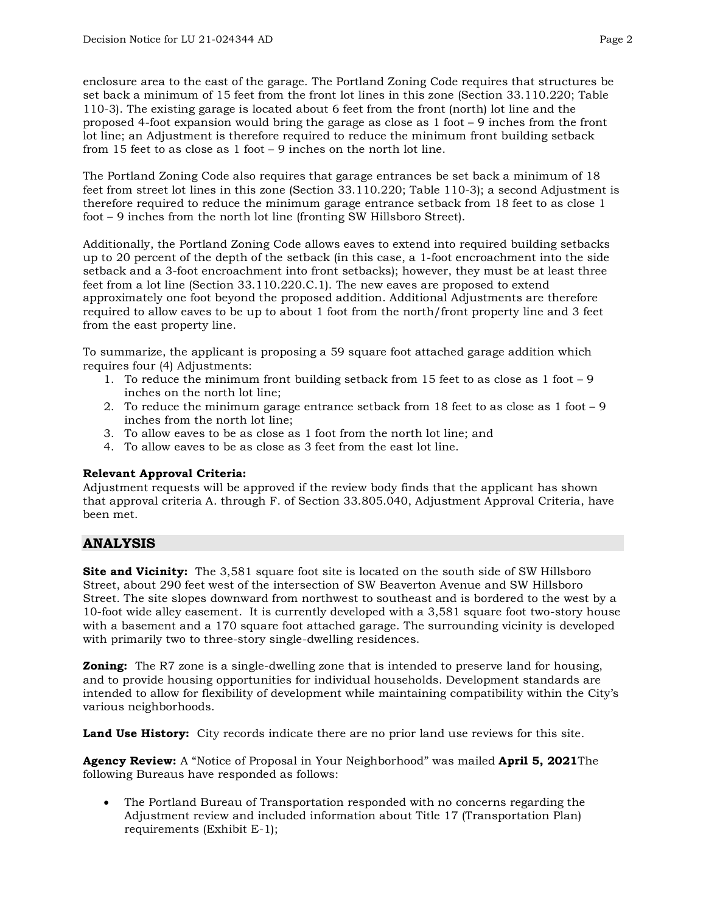enclosure area to the east of the garage. The Portland Zoning Code requires that structures be set back a minimum of 15 feet from the front lot lines in this zone (Section 33.110.220; Table 110-3). The existing garage is located about 6 feet from the front (north) lot line and the proposed 4-foot expansion would bring the garage as close as 1 foot – 9 inches from the front lot line; an Adjustment is therefore required to reduce the minimum front building setback from 15 feet to as close as 1 foot – 9 inches on the north lot line.

The Portland Zoning Code also requires that garage entrances be set back a minimum of 18 feet from street lot lines in this zone (Section 33.110.220; Table 110-3); a second Adjustment is therefore required to reduce the minimum garage entrance setback from 18 feet to as close 1 foot – 9 inches from the north lot line (fronting SW Hillsboro Street).

Additionally, the Portland Zoning Code allows eaves to extend into required building setbacks up to 20 percent of the depth of the setback (in this case, a 1-foot encroachment into the side setback and a 3-foot encroachment into front setbacks); however, they must be at least three feet from a lot line (Section 33.110.220.C.1). The new eaves are proposed to extend approximately one foot beyond the proposed addition. Additional Adjustments are therefore required to allow eaves to be up to about 1 foot from the north/front property line and 3 feet from the east property line.

To summarize, the applicant is proposing a 59 square foot attached garage addition which requires four (4) Adjustments:

- 1. To reduce the minimum front building setback from 15 feet to as close as 1 foot 9 inches on the north lot line;
- 2. To reduce the minimum garage entrance setback from 18 feet to as close as 1 foot 9 inches from the north lot line;
- 3. To allow eaves to be as close as 1 foot from the north lot line; and
- 4. To allow eaves to be as close as 3 feet from the east lot line.

## **Relevant Approval Criteria:**

Adjustment requests will be approved if the review body finds that the applicant has shown that approval criteria A. through F. of Section 33.805.040, Adjustment Approval Criteria, have been met.

## **ANALYSIS**

**Site and Vicinity:** The 3,581 square foot site is located on the south side of SW Hillsboro Street, about 290 feet west of the intersection of SW Beaverton Avenue and SW Hillsboro Street. The site slopes downward from northwest to southeast and is bordered to the west by a 10-foot wide alley easement. It is currently developed with a 3,581 square foot two-story house with a basement and a 170 square foot attached garage. The surrounding vicinity is developed with primarily two to three-story single-dwelling residences.

**Zoning:** The R7 zone is a single-dwelling zone that is intended to preserve land for housing, and to provide housing opportunities for individual households. Development standards are intended to allow for flexibility of development while maintaining compatibility within the City's various neighborhoods.

**Land Use History:** City records indicate there are no prior land use reviews for this site.

**Agency Review:** A "Notice of Proposal in Your Neighborhood" was mailed **April 5, 2021**The following Bureaus have responded as follows:

• The Portland Bureau of Transportation responded with no concerns regarding the Adjustment review and included information about Title 17 (Transportation Plan) requirements (Exhibit E-1);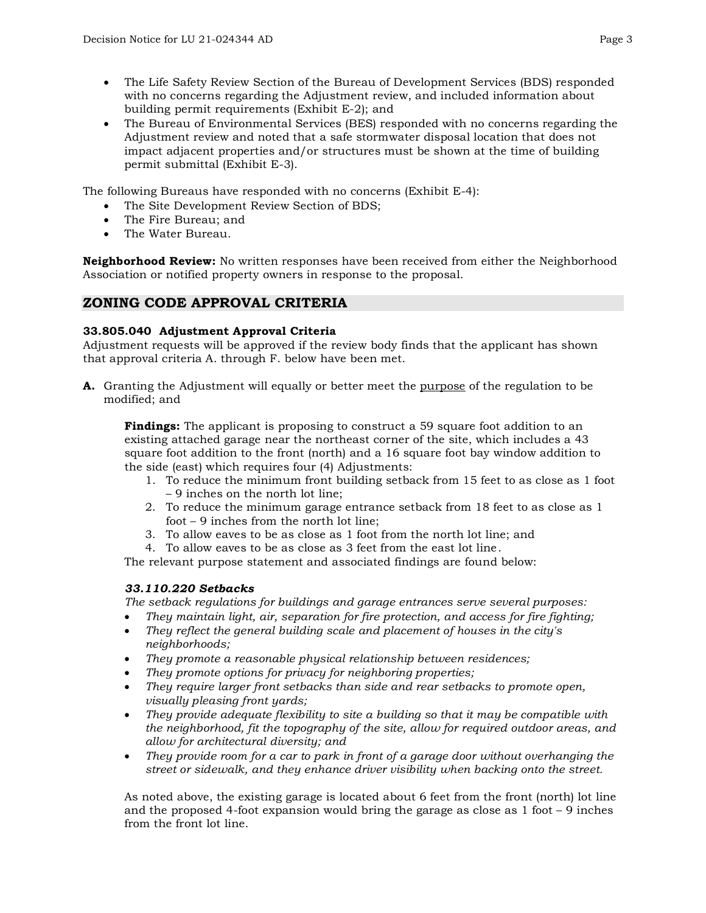- The Life Safety Review Section of the Bureau of Development Services (BDS) responded with no concerns regarding the Adjustment review, and included information about building permit requirements (Exhibit E-2); and
- The Bureau of Environmental Services (BES) responded with no concerns regarding the Adjustment review and noted that a safe stormwater disposal location that does not impact adjacent properties and/or structures must be shown at the time of building permit submittal (Exhibit E-3).

The following Bureaus have responded with no concerns (Exhibit E-4):

- The Site Development Review Section of BDS;
- The Fire Bureau; and
- The Water Bureau.

**Neighborhood Review:** No written responses have been received from either the Neighborhood Association or notified property owners in response to the proposal.

## **ZONING CODE APPROVAL CRITERIA**

### **33.805.040 Adjustment Approval Criteria**

Adjustment requests will be approved if the review body finds that the applicant has shown that approval criteria A. through F. below have been met.

**A.** Granting the Adjustment will equally or better meet the purpose of the regulation to be modified; and

**Findings:** The applicant is proposing to construct a 59 square foot addition to an existing attached garage near the northeast corner of the site, which includes a 43 square foot addition to the front (north) and a 16 square foot bay window addition to the side (east) which requires four (4) Adjustments:

- 1. To reduce the minimum front building setback from 15 feet to as close as 1 foot – 9 inches on the north lot line;
- 2. To reduce the minimum garage entrance setback from 18 feet to as close as 1 foot – 9 inches from the north lot line;
- 3. To allow eaves to be as close as 1 foot from the north lot line; and
- 4. To allow eaves to be as close as 3 feet from the east lot line.

The relevant purpose statement and associated findings are found below:

## *33.110.220 Setbacks*

*The setback regulations for buildings and garage entrances serve several purposes:*

- *They maintain light, air, separation for fire protection, and access for fire fighting;*
- *They reflect the general building scale and placement of houses in the city's neighborhoods;*
- *They promote a reasonable physical relationship between residences;*
- *They promote options for privacy for neighboring properties;*
- *They require larger front setbacks than side and rear setbacks to promote open, visually pleasing front yards;*
- *They provide adequate flexibility to site a building so that it may be compatible with the neighborhood, fit the topography of the site, allow for required outdoor areas, and allow for architectural diversity; and*
- *They provide room for a car to park in front of a garage door without overhanging the street or sidewalk, and they enhance driver visibility when backing onto the street.*

As noted above, the existing garage is located about 6 feet from the front (north) lot line and the proposed 4-foot expansion would bring the garage as close as 1 foot – 9 inches from the front lot line.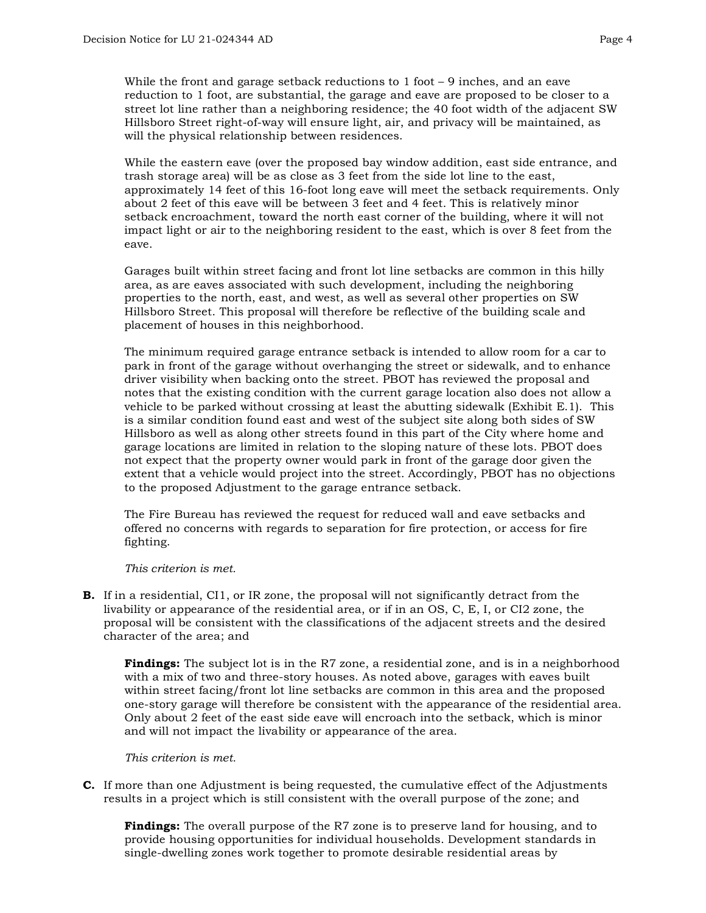While the front and garage setback reductions to 1 foot – 9 inches, and an eave reduction to 1 foot, are substantial, the garage and eave are proposed to be closer to a street lot line rather than a neighboring residence; the 40 foot width of the adjacent SW Hillsboro Street right-of-way will ensure light, air, and privacy will be maintained, as will the physical relationship between residences.

While the eastern eave (over the proposed bay window addition, east side entrance, and trash storage area) will be as close as 3 feet from the side lot line to the east, approximately 14 feet of this 16-foot long eave will meet the setback requirements. Only about 2 feet of this eave will be between 3 feet and 4 feet. This is relatively minor setback encroachment, toward the north east corner of the building, where it will not impact light or air to the neighboring resident to the east, which is over 8 feet from the eave.

Garages built within street facing and front lot line setbacks are common in this hilly area, as are eaves associated with such development, including the neighboring properties to the north, east, and west, as well as several other properties on SW Hillsboro Street. This proposal will therefore be reflective of the building scale and placement of houses in this neighborhood.

The minimum required garage entrance setback is intended to allow room for a car to park in front of the garage without overhanging the street or sidewalk, and to enhance driver visibility when backing onto the street. PBOT has reviewed the proposal and notes that the existing condition with the current garage location also does not allow a vehicle to be parked without crossing at least the abutting sidewalk (Exhibit E.1). This is a similar condition found east and west of the subject site along both sides of SW Hillsboro as well as along other streets found in this part of the City where home and garage locations are limited in relation to the sloping nature of these lots. PBOT does not expect that the property owner would park in front of the garage door given the extent that a vehicle would project into the street. Accordingly, PBOT has no objections to the proposed Adjustment to the garage entrance setback.

The Fire Bureau has reviewed the request for reduced wall and eave setbacks and offered no concerns with regards to separation for fire protection, or access for fire fighting.

#### *This criterion is met.*

**B.** If in a residential, CI1, or IR zone, the proposal will not significantly detract from the livability or appearance of the residential area, or if in an OS, C, E, I, or CI2 zone, the proposal will be consistent with the classifications of the adjacent streets and the desired character of the area; and

**Findings:** The subject lot is in the R7 zone, a residential zone, and is in a neighborhood with a mix of two and three-story houses. As noted above, garages with eaves built within street facing/front lot line setbacks are common in this area and the proposed one-story garage will therefore be consistent with the appearance of the residential area. Only about 2 feet of the east side eave will encroach into the setback, which is minor and will not impact the livability or appearance of the area.

#### *This criterion is met.*

**C.** If more than one Adjustment is being requested, the cumulative effect of the Adjustments results in a project which is still consistent with the overall purpose of the zone; and

**Findings:** The overall purpose of the R7 zone is to preserve land for housing, and to provide housing opportunities for individual households. Development standards in single-dwelling zones work together to promote desirable residential areas by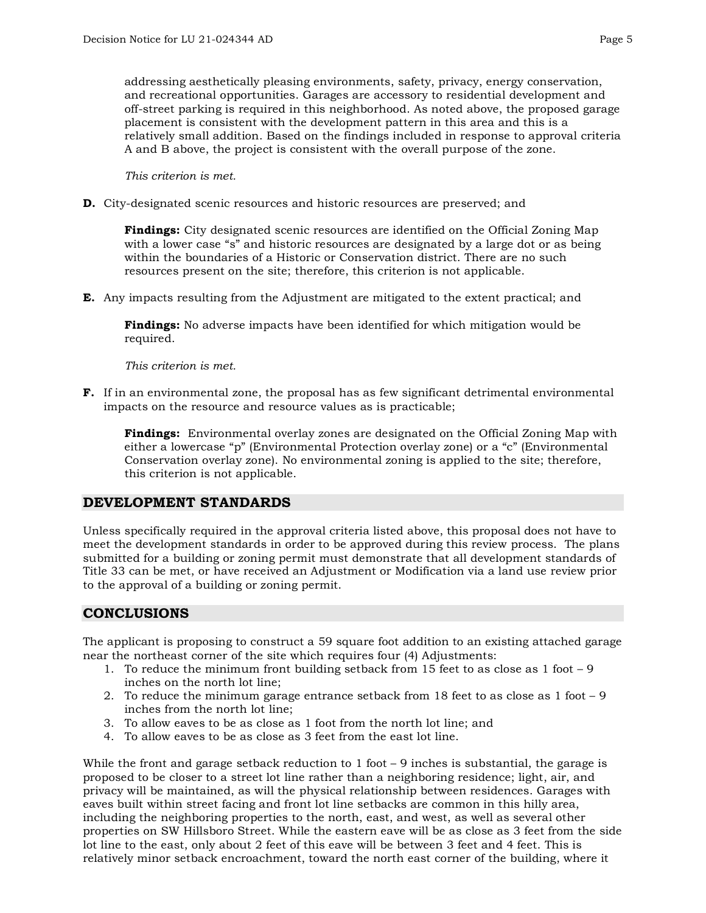addressing aesthetically pleasing environments, safety, privacy, energy conservation, and recreational opportunities. Garages are accessory to residential development and off-street parking is required in this neighborhood. As noted above, the proposed garage placement is consistent with the development pattern in this area and this is a relatively small addition. Based on the findings included in response to approval criteria A and B above, the project is consistent with the overall purpose of the zone.

*This criterion is met.*

**D.** City-designated scenic resources and historic resources are preserved; and

**Findings:** City designated scenic resources are identified on the Official Zoning Map with a lower case "s" and historic resources are designated by a large dot or as being within the boundaries of a Historic or Conservation district. There are no such resources present on the site; therefore, this criterion is not applicable.

**E.** Any impacts resulting from the Adjustment are mitigated to the extent practical; and

**Findings:** No adverse impacts have been identified for which mitigation would be required.

*This criterion is met.*

**F.** If in an environmental zone, the proposal has as few significant detrimental environmental impacts on the resource and resource values as is practicable;

**Findings:** Environmental overlay zones are designated on the Official Zoning Map with either a lowercase "p" (Environmental Protection overlay zone) or a "c" (Environmental Conservation overlay zone). No environmental zoning is applied to the site; therefore, this criterion is not applicable.

## **DEVELOPMENT STANDARDS**

Unless specifically required in the approval criteria listed above, this proposal does not have to meet the development standards in order to be approved during this review process. The plans submitted for a building or zoning permit must demonstrate that all development standards of Title 33 can be met, or have received an Adjustment or Modification via a land use review prior to the approval of a building or zoning permit.

## **CONCLUSIONS**

The applicant is proposing to construct a 59 square foot addition to an existing attached garage near the northeast corner of the site which requires four (4) Adjustments:

- 1. To reduce the minimum front building setback from 15 feet to as close as 1 foot 9 inches on the north lot line;
- 2. To reduce the minimum garage entrance setback from 18 feet to as close as 1 foot 9 inches from the north lot line;
- 3. To allow eaves to be as close as 1 foot from the north lot line; and
- 4. To allow eaves to be as close as 3 feet from the east lot line.

While the front and garage setback reduction to 1 foot – 9 inches is substantial, the garage is proposed to be closer to a street lot line rather than a neighboring residence; light, air, and privacy will be maintained, as will the physical relationship between residences. Garages with eaves built within street facing and front lot line setbacks are common in this hilly area, including the neighboring properties to the north, east, and west, as well as several other properties on SW Hillsboro Street. While the eastern eave will be as close as 3 feet from the side lot line to the east, only about 2 feet of this eave will be between 3 feet and 4 feet. This is relatively minor setback encroachment, toward the north east corner of the building, where it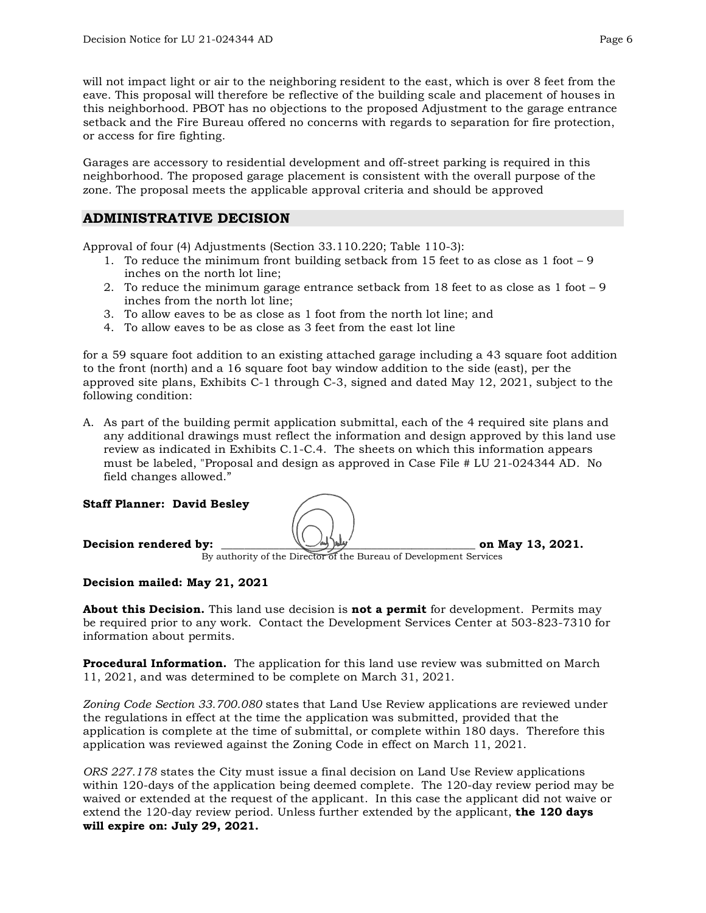will not impact light or air to the neighboring resident to the east, which is over 8 feet from the eave. This proposal will therefore be reflective of the building scale and placement of houses in this neighborhood. PBOT has no objections to the proposed Adjustment to the garage entrance setback and the Fire Bureau offered no concerns with regards to separation for fire protection, or access for fire fighting.

Garages are accessory to residential development and off-street parking is required in this neighborhood. The proposed garage placement is consistent with the overall purpose of the zone. The proposal meets the applicable approval criteria and should be approved

## **ADMINISTRATIVE DECISION**

Approval of four (4) Adjustments (Section 33.110.220; Table 110-3):

- 1. To reduce the minimum front building setback from 15 feet to as close as 1 foot 9 inches on the north lot line;
- 2. To reduce the minimum garage entrance setback from 18 feet to as close as 1 foot 9 inches from the north lot line;
- 3. To allow eaves to be as close as 1 foot from the north lot line; and
- 4. To allow eaves to be as close as 3 feet from the east lot line

for a 59 square foot addition to an existing attached garage including a 43 square foot addition to the front (north) and a 16 square foot bay window addition to the side (east), per the approved site plans, Exhibits C-1 through C-3, signed and dated May 12, 2021, subject to the following condition:

A. As part of the building permit application submittal, each of the 4 required site plans and any additional drawings must reflect the information and design approved by this land use review as indicated in Exhibits C.1-C.4. The sheets on which this information appears must be labeled, "Proposal and design as approved in Case File # LU 21-024344 AD. No field changes allowed."

#### **Staff Planner: David Besley**



By authority of the Director of the Bureau of Development Services

## **Decision mailed: May 21, 2021**

**About this Decision.** This land use decision is **not a permit** for development. Permits may be required prior to any work. Contact the Development Services Center at 503-823-7310 for information about permits.

**Procedural Information.** The application for this land use review was submitted on March 11, 2021, and was determined to be complete on March 31, 2021.

*Zoning Code Section 33.700.080* states that Land Use Review applications are reviewed under the regulations in effect at the time the application was submitted, provided that the application is complete at the time of submittal, or complete within 180 days. Therefore this application was reviewed against the Zoning Code in effect on March 11, 2021.

*ORS 227.178* states the City must issue a final decision on Land Use Review applications within 120-days of the application being deemed complete. The 120-day review period may be waived or extended at the request of the applicant. In this case the applicant did not waive or extend the 120-day review period. Unless further extended by the applicant, **the 120 days will expire on: July 29, 2021.**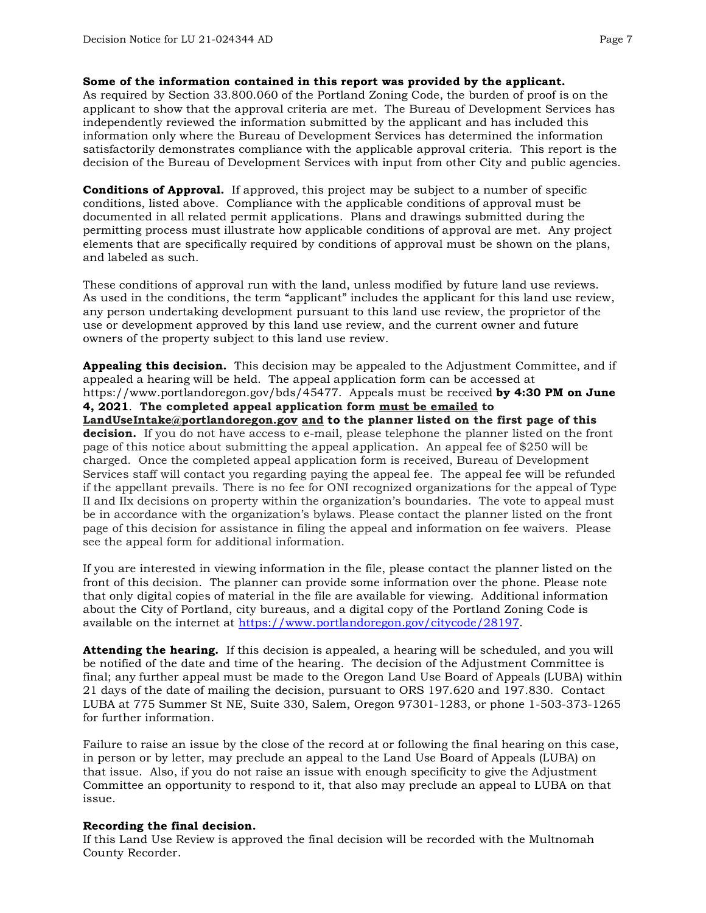#### **Some of the information contained in this report was provided by the applicant.**

As required by Section 33.800.060 of the Portland Zoning Code, the burden of proof is on the applicant to show that the approval criteria are met. The Bureau of Development Services has independently reviewed the information submitted by the applicant and has included this information only where the Bureau of Development Services has determined the information satisfactorily demonstrates compliance with the applicable approval criteria. This report is the decision of the Bureau of Development Services with input from other City and public agencies.

**Conditions of Approval.** If approved, this project may be subject to a number of specific conditions, listed above. Compliance with the applicable conditions of approval must be documented in all related permit applications. Plans and drawings submitted during the permitting process must illustrate how applicable conditions of approval are met. Any project elements that are specifically required by conditions of approval must be shown on the plans, and labeled as such.

These conditions of approval run with the land, unless modified by future land use reviews. As used in the conditions, the term "applicant" includes the applicant for this land use review, any person undertaking development pursuant to this land use review, the proprietor of the use or development approved by this land use review, and the current owner and future owners of the property subject to this land use review.

**Appealing this decision.** This decision may be appealed to the Adjustment Committee, and if appealed a hearing will be held. The appeal application form can be accessed at https://www.portlandoregon.gov/bds/45477. Appeals must be received **by 4:30 PM on June 4, 2021**. **The completed appeal application form must be emailed to [LandUseIntake@portlandoregon.gov](mailto:LandUseIntake@portlandoregon.gov) and to the planner listed on the first page of this decision.** If you do not have access to e-mail, please telephone the planner listed on the front page of this notice about submitting the appeal application. An appeal fee of \$250 will be charged. Once the completed appeal application form is received, Bureau of Development Services staff will contact you regarding paying the appeal fee. The appeal fee will be refunded if the appellant prevails. There is no fee for ONI recognized organizations for the appeal of Type II and IIx decisions on property within the organization's boundaries. The vote to appeal must be in accordance with the organization's bylaws. Please contact the planner listed on the front page of this decision for assistance in filing the appeal and information on fee waivers. Please see the appeal form for additional information.

If you are interested in viewing information in the file, please contact the planner listed on the front of this decision. The planner can provide some information over the phone. Please note that only digital copies of material in the file are available for viewing. Additional information about the City of Portland, city bureaus, and a digital copy of the Portland Zoning Code is available on the internet at [https://www.portlandoregon.gov/citycode/28197.](https://www.portlandoregon.gov/citycode/28197)

**Attending the hearing.** If this decision is appealed, a hearing will be scheduled, and you will be notified of the date and time of the hearing. The decision of the Adjustment Committee is final; any further appeal must be made to the Oregon Land Use Board of Appeals (LUBA) within 21 days of the date of mailing the decision, pursuant to ORS 197.620 and 197.830. Contact LUBA at 775 Summer St NE, Suite 330, Salem, Oregon 97301-1283, or phone 1-503-373-1265 for further information.

Failure to raise an issue by the close of the record at or following the final hearing on this case, in person or by letter, may preclude an appeal to the Land Use Board of Appeals (LUBA) on that issue. Also, if you do not raise an issue with enough specificity to give the Adjustment Committee an opportunity to respond to it, that also may preclude an appeal to LUBA on that issue.

#### **Recording the final decision.**

If this Land Use Review is approved the final decision will be recorded with the Multnomah County Recorder.